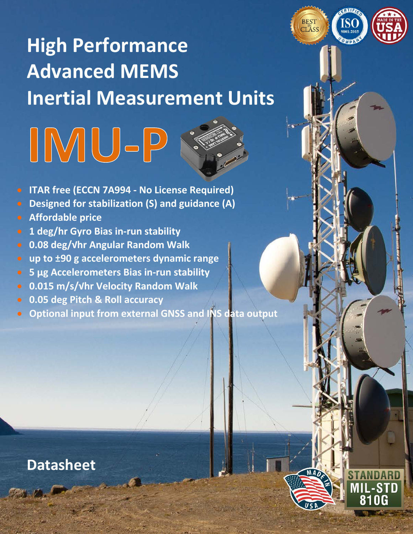

### **High Performance Advanced MEMS Inertial Measurement Units**

# IMU-P

- **ITAR free (ECCN 7A994 - No License Required)**
- **Designed for stabilization (S) and guidance (A)**
- **Affordable price**
- **1 deg/hr Gyro Bias in-run stability**
- **0.08 deg/√hr Angular Random Walk**
- **up to ±90 g accelerometers dynamic range**
- **5 μg Accelerometers Bias in-run stability**
- **0.015 m/s/√hr Velocity Random Walk**
- **0.05 deg Pitch & Roll accuracy**
- **Optional input from external GNSS and INS data output**

Tel: +1 (703) 880-4222, Fax: +1 (703) 935-8377Website: www.inertiallabs.com

### **Datasheet**

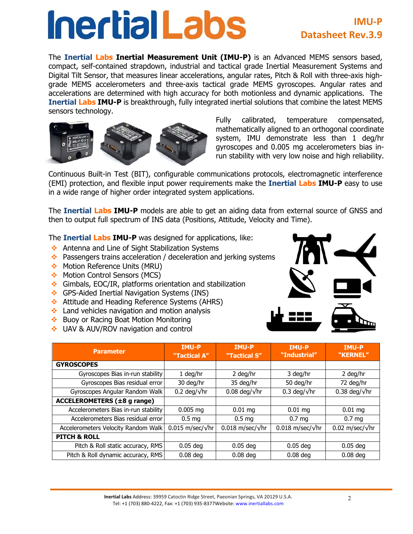## **Inertial Labs**

### **IMU-P Datasheet Rev.3.9**

The **Inertial Labs Inertial Measurement Unit (IMU-P)** is an Advanced MEMS sensors based, compact, self-contained strapdown, industrial and tactical grade Inertial Measurement Systems and Digital Tilt Sensor, that measures linear accelerations, angular rates, Pitch & Roll with three-axis highgrade MEMS accelerometers and three-axis tactical grade MEMS gyroscopes. Angular rates and accelerations are determined with high accuracy for both motionless and dynamic applications. The **Inertial Labs IMU-P** is breakthrough, fully integrated inertial solutions that combine the latest MEMS sensors technology.



Fully calibrated, temperature compensated, mathematically aligned to an orthogonal coordinate system, IMU demonstrate less than 1 deg/hr gyroscopes and 0.005 mg accelerometers bias inrun stability with very low noise and high reliability.

Continuous Built-in Test (BIT), configurable communications protocols, electromagnetic interference (EMI) protection, and flexible input power requirements make the **Inertial Labs IMU-P** easy to use in a wide range of higher order integrated system applications.

The **Inertial Labs IMU-P** models are able to get an aiding data from external source of GNSS and then to output full spectrum of INS data (Positions, Attitude, Velocity and Time).

The **Inertial Labs IMU-P** was designed for applications, like:

- $\leftrightarrow$  Antenna and Line of Sight Stabilization Systems
- $\cdot$  Passengers trains acceleration / deceleration and jerking systems
- ◆ Motion Reference Units (MRU)
- Motion Control Sensors (MCS)
- $\div$  Gimbals, EOC/IR, platforms orientation and stabilization
- v GPS-Aided Inertial Navigation Systems (INS)
- ◆ Attitude and Heading Reference Systems (AHRS)
- $\cdot$  Land vehicles navigation and motion analysis
- ◆ Buoy or Racing Boat Motion Monitoring
- ◆ UAV & AUV/ROV navigation and control



| <b>Parameter</b>                     | <b>IMU-P</b><br>"Tactical A" | <b>IMU-P</b><br>"Tactical S" | <b>IMU-P</b><br>"Industrial"       | <b>IMU-P</b><br>"KERNEL" |  |
|--------------------------------------|------------------------------|------------------------------|------------------------------------|--------------------------|--|
| <b>GYROSCOPES</b>                    |                              |                              |                                    |                          |  |
| Gyroscopes Bias in-run stability     | 1 deg/hr                     | 2 deg/hr                     | 3 deg/hr                           | 2 deg/hr                 |  |
| Gyroscopes Bias residual error       | 30 deg/hr                    | 35 deg/hr                    | 50 deg/hr                          | 72 deg/hr                |  |
| Gyroscopes Angular Random Walk       | 0.2 deg/ $\sqrt{hr}$         | $0.08$ deg/ $\sqrt{hr}$      | $0.3 \text{ deg}/\sqrt{\text{hr}}$ | 0.38 deg/ $\sqrt{hr}$    |  |
| <b>ACCELEROMETERS (±8 g range)</b>   |                              |                              |                                    |                          |  |
| Accelerometers Bias in-run stability | $0.005$ mg                   | $0.01$ mg                    | $0.01 \, \text{mg}$                | $0.01$ mg                |  |
| Accelerometers Bias residual error   | 0.5 <sub>mg</sub>            | 0.5 <sub>mg</sub>            | 0.7 <sub>mg</sub>                  | 0.7 <sub>mg</sub>        |  |
| Accelerometers Velocity Random Walk  | $0.015$ m/sec/ $\sqrt{hr}$   | $0.018$ m/sec/ $\sqrt{hr}$   | $0.018$ m/sec/ $\sqrt{hr}$         | 0.02 m/sec/ $\sqrt{hr}$  |  |
| <b>PITCH &amp; ROLL</b>              |                              |                              |                                    |                          |  |
| Pitch & Roll static accuracy, RMS    | $0.05$ deg                   | $0.05$ deg                   | $0.05$ deg                         | $0.05$ deg               |  |
| Pitch & Roll dynamic accuracy, RMS   | $0.08$ deg                   | $0.08$ deg                   | $0.08$ deg                         | $0.08$ deg               |  |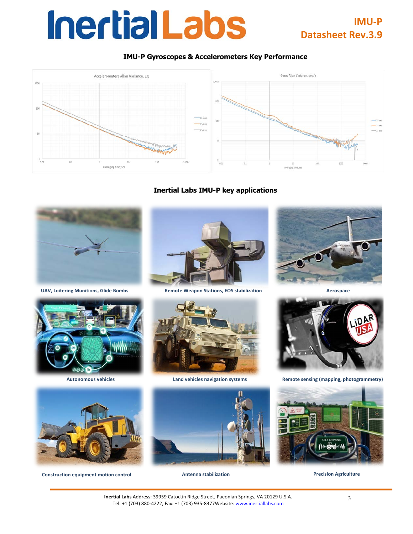### **InertialLabs**

### **IMU-P Datasheet Rev.3.9**

#### **IMU-P Gyroscopes & Accelerometers Key Performance**



**Inertial Labs IMU-P key applications**







**Construction equipment motion control Antenna stabilization Precision Agriculture** 



**UAV, Loitering Munitions, Glide Bombs Remote Weapon Stations, EOS stabilization Aerospace**









**Autonomous vehicles Land vehicles navigation systems Remote sensing (mapping, photogrammetry)**

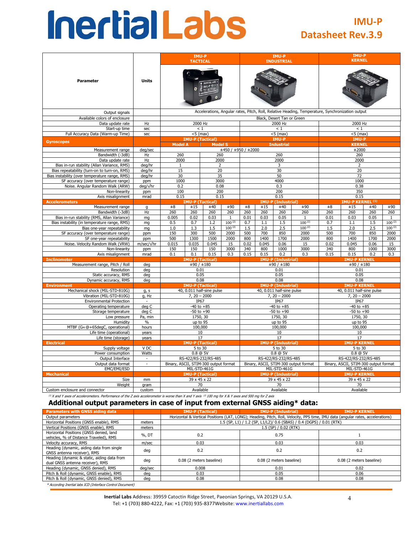## **Inertial Labs**

### **IMU-P Datasheet Rev.3.9**

|                                                                                        |                   |                                       |                                     | <b>IMU-P</b><br><b>INDUSTRIAL</b> |                      |                                                                                                  |       | IMU-P<br><b>KERNEL</b>    |                      |                                       |                             |      |              |  |
|----------------------------------------------------------------------------------------|-------------------|---------------------------------------|-------------------------------------|-----------------------------------|----------------------|--------------------------------------------------------------------------------------------------|-------|---------------------------|----------------------|---------------------------------------|-----------------------------|------|--------------|--|
| <b>Parameter</b>                                                                       | <b>Units</b>      |                                       |                                     |                                   |                      |                                                                                                  |       |                           |                      |                                       |                             |      |              |  |
| Output signals                                                                         |                   |                                       |                                     |                                   |                      | Accelerations, Angular rates, Pitch, Roll, Relative Heading, Temperature, Synchronization output |       |                           |                      |                                       |                             |      |              |  |
| Available colors of enclosure                                                          |                   |                                       |                                     |                                   |                      | Black, Desert Tan or Green                                                                       |       |                           |                      |                                       |                             |      |              |  |
| Data update rate                                                                       | Hz                |                                       | 2000 Hz                             |                                   |                      |                                                                                                  |       | 2000 Hz                   |                      | 2000 Hz                               |                             |      |              |  |
| Start-up time                                                                          | sec               |                                       | < 1                                 |                                   |                      |                                                                                                  |       | < 1                       |                      |                                       | $\leq 1$                    |      |              |  |
| Full Accuracy Data (Warm-up Time)                                                      | sec               |                                       | $<$ 5 (max)                         |                                   |                      |                                                                                                  |       | $<$ 5 (max)               |                      |                                       | $<$ 5 (max)                 |      |              |  |
| <b>Gyroscopes</b>                                                                      |                   |                                       | <b>IMU-P (Tactical)</b>             |                                   |                      |                                                                                                  |       | IMU-P                     |                      |                                       | IMU-P                       |      |              |  |
|                                                                                        |                   | <b>Model A</b>                        |                                     | <b>Model S</b>                    |                      |                                                                                                  |       | <b>Industrial</b>         |                      |                                       | <b>KERNEL</b>               |      |              |  |
| Measurement range                                                                      | deg/sec           |                                       |                                     |                                   | ±450 / ±950 / ±2000  |                                                                                                  |       |                           |                      |                                       | ±2000                       |      |              |  |
| Bandwidth (-3dB)                                                                       | Hz                | 260                                   |                                     | 260                               |                      |                                                                                                  |       | 260                       |                      |                                       | 260                         |      |              |  |
| Data update rate                                                                       | Hz                | 2000                                  |                                     | 2000                              |                      |                                                                                                  |       | 2000                      |                      |                                       | 2000                        |      |              |  |
| Bias in-run stability (Allan Variance, RMS)                                            | deg/hr            | $\mathbf{1}$                          |                                     | $\overline{2}$                    |                      |                                                                                                  |       | 3                         |                      |                                       | $\overline{2}$              |      |              |  |
| Bias repeatability (turn-on to turn-on, RMS)                                           | deg/hr            | 15                                    |                                     | 20                                |                      |                                                                                                  |       | 30<br>50                  |                      | 20                                    |                             |      |              |  |
| Bias instability (over temperature range, RMS)<br>SF accuracy (over temperature range) | deg/hr            | 30<br>1000                            |                                     | 35<br>3000                        |                      |                                                                                                  |       | 4000                      |                      | 72<br>1000                            |                             |      |              |  |
| Noise. Angular Random Walk (ARW)                                                       | ppm<br>deg/√hr    | 0.2                                   |                                     | 0.08                              |                      |                                                                                                  |       | 0.3                       |                      |                                       | 0.38                        |      |              |  |
| Non-linearity                                                                          | ppm               | 100                                   |                                     | 200                               |                      |                                                                                                  |       | 200                       |                      | 350                                   |                             |      |              |  |
| Axis misalignment                                                                      | mrad              | 0.15                                  |                                     | 0.15                              |                      | 0.15                                                                                             |       |                           |                      | 0.15                                  |                             |      |              |  |
| <b>Accelerometers</b>                                                                  |                   |                                       | <b>IMU-P (Tactical)</b>             |                                   |                      |                                                                                                  |       | <b>IMU-P (Industrial)</b> |                      | <b>IMU-P KERNEL (1)</b>               |                             |      |              |  |
| Measurement range                                                                      | g                 | $\pm 8$                               | ±15                                 | ±40                               | ±90                  | $\pm 8$                                                                                          | ±15   | ±40                       | ±90                  | $\pm 8$                               | ±15                         | ±40  | ±90          |  |
| Bandwidth (-3dB)                                                                       | Hz                | 260                                   | 260                                 | 260                               | 260                  | 260                                                                                              | 260   | 260                       | 260                  | 260                                   | 260                         | 260  | 260          |  |
| Bias in-run stability (RMS, Allan Variance)                                            | ma                | 0.005                                 | 0.02                                | 0.03                              | $\mathbf{1}$         | 0.01                                                                                             | 0.03  | 0.05                      | 1                    | 0.01                                  | 0.03                        | 0.05 | $\mathbf{1}$ |  |
| Bias instability (in temperature range, RMS)                                           | mg                | 0.5                                   | 0.7                                 | 1.2                               | $100^{(2)}$          | 0.7                                                                                              | 1.1   | 1.5                       | $100^{(2)}$          | 0.7                                   | 1.1                         | 1.5  | $100^{(2)}$  |  |
| Bias one-year repeatability                                                            | mg                | 1.0                                   | 1.3                                 | 1.5                               | $100^{(2)}$          | 1.5                                                                                              | 2.0   | 2.5                       | $100^{(2)}$          | 1.5                                   | 2.0                         | 2.5  | $100^{(2)}$  |  |
| SF accuracy (over temperature range)                                                   | ppm               | 150                                   | 300                                 | 500                               | 2000                 | 500                                                                                              | 700   | 850                       | 2000                 | 500                                   | 700                         | 850  | 2000         |  |
| SF one-year repeatability                                                              | ppm               | 500                                   | 1300                                | 1500                              | 2000                 | 800                                                                                              | 1400  | 1700                      | 2000                 | 800                                   | 1400                        | 1700 | 2000         |  |
| Noise. Velocity Random Walk (VRW)                                                      | $m/sec/\sqrt{hr}$ | 0.015                                 | 0.035                               | 0.045                             | 15                   | 0.02                                                                                             | 0.045 | 0.06                      | 15                   | 0.02                                  | 0.045                       | 0.06 | 15           |  |
| Non-linearity                                                                          | ppm               | 150                                   | 150                                 | 150                               | 3000                 | 340                                                                                              | 800   | 1000                      | 3000                 | 340                                   | 800                         | 1000 | 3000         |  |
| Axis misalignment                                                                      | mrad              | 0.1                                   | 0.1                                 | 0.15<br>0.3                       |                      | 0.15                                                                                             | 0.15  | 0.2                       | 0.3                  | 0.15                                  | 0.15<br><b>IMU-P KERNEL</b> | 0.2  | 0.3          |  |
| <b>Inclinometer</b><br>Measurement range, Pitch / Roll                                 |                   |                                       | <b>IMU-P (Tactical)</b><br>±90/±180 |                                   |                      | <b>IMU-P (Industrial)</b><br>±90/±180                                                            |       |                           |                      |                                       | ±90/±180                    |      |              |  |
| Resolution                                                                             | deg<br>deg        |                                       | 0.01                                |                                   |                      | 0.01                                                                                             |       |                           |                      |                                       | 0.01                        |      |              |  |
| Static accuracy, RMS                                                                   | deg               |                                       | 0.05                                |                                   |                      | 0.05                                                                                             |       |                           |                      |                                       | 0.05                        |      |              |  |
| Dynamic accuracy, RMS                                                                  | deg               |                                       | 0.08                                |                                   |                      | 0.08                                                                                             |       |                           |                      | 0.08                                  |                             |      |              |  |
| <b>Environment</b>                                                                     |                   |                                       | <b>IMU-P (Tactical)</b>             |                                   |                      |                                                                                                  |       | <b>IMU-P (Industrial)</b> |                      | <b>IMU-P KERNEL</b>                   |                             |      |              |  |
| Mechanical shock (MIL-STD-810G)                                                        | g, s              |                                       |                                     | 40, 0.011 half-sine pulse         |                      |                                                                                                  |       | 40, 0.011 half-sine pulse |                      | 40, 0.011 half-sine pulse             |                             |      |              |  |
| Vibration (MIL-STD-810G)                                                               | g, Hz             |                                       | $7, 20 - 2000$                      |                                   |                      | $7, 20 - 2000$                                                                                   |       |                           |                      | $7, 20 - 2000$                        |                             |      |              |  |
| <b>Environmental Protection</b>                                                        |                   |                                       | IP67                                |                                   |                      |                                                                                                  |       | IP67                      |                      | IP67                                  |                             |      |              |  |
| Operating temperature                                                                  | deg C             |                                       | $-40$ to $+85$                      |                                   |                      |                                                                                                  |       | $-40$ to $+85$            |                      | $-40$ to $+85$                        |                             |      |              |  |
| Storage temperature                                                                    | deg C             |                                       | $-50$ to $+90$                      |                                   |                      |                                                                                                  |       | $-50$ to $+90$            |                      | $-50$ to $+90$                        |                             |      |              |  |
| Low pressure                                                                           | Pa, min           |                                       | 1750, 30<br>up to 95                |                                   |                      |                                                                                                  |       | 1750, 30                  |                      | 1750, 30                              |                             |      |              |  |
| Humidity<br>MTBF (GM @+65deqC, operational)                                            | $\%$              |                                       |                                     |                                   |                      | up to 95<br>100,000                                                                              |       | up to 95                  |                      |                                       |                             |      |              |  |
| Life time (operational)                                                                | hours<br>years    |                                       |                                     |                                   |                      | 10                                                                                               |       | 100,000<br>10             |                      |                                       |                             |      |              |  |
| Life time (storage)                                                                    | years             | 10<br>17                              |                                     |                                   |                      |                                                                                                  | 17    |                           |                      |                                       | 17                          |      |              |  |
| <b>Electrical</b>                                                                      |                   | <b>IMU-P (Tactical)</b>               |                                     |                                   |                      | <b>IMU-P (Industrial)</b>                                                                        |       |                           |                      | <b>IMU-P KERNEI</b>                   |                             |      |              |  |
| Supply voltage                                                                         | V <sub>DC</sub>   | 5 to 30                               |                                     |                                   |                      |                                                                                                  |       | 5 to 30                   |                      | 5 to 30                               |                             |      |              |  |
| Power consumption                                                                      | Watts             | 0.8 @ 5V                              |                                     |                                   | 0.8 @ 5V             |                                                                                                  |       |                           | 0.8 @ 5V             |                                       |                             |      |              |  |
| Output Interface                                                                       | $\sim$            | RS-422/RS-232/RS-485                  |                                     |                                   | RS-422/RS-232/RS-485 |                                                                                                  |       |                           | RS-422/RS-232/RS-485 |                                       |                             |      |              |  |
| Output data format                                                                     | $\sim$            | Binary, ASCII, STIM-300 output format |                                     |                                   |                      | Binary, ASCII, STIM-300 output format                                                            |       |                           |                      | Binary, ASCII, STIM-300 output format |                             |      |              |  |
| EMC/EMI/ESD                                                                            |                   |                                       | MIL-STD-461G                        |                                   |                      | MIL-STD-461G                                                                                     |       |                           |                      | MIL-STD-461G                          |                             |      |              |  |
| <b>Mechanical</b>                                                                      |                   |                                       | <b>IMU-P (Tactical)</b>             |                                   |                      |                                                                                                  |       | IMU-P (Industrial)        |                      | <b>IMU-P KERNEI</b>                   |                             |      |              |  |
| Size                                                                                   | mm                |                                       | 39 x 45 x 22                        |                                   |                      |                                                                                                  |       | 39 x 45 x 22              |                      |                                       | 39 x 45 x 22                |      |              |  |
| Weight                                                                                 | gram              |                                       | 70                                  |                                   |                      |                                                                                                  |       | 70                        |                      |                                       | 70                          |      |              |  |
| Custom enclosure and connector                                                         | custom            | Available                             |                                     |                                   |                      |                                                                                                  |       | Available                 |                      | Available                             |                             |      |              |  |

 $^{(1)}X$  and Y axes of accelerometers. Performance of the Z axis accelerometer is worse than X and Y axis  $^{(2)}$  100 mg for X & Y axes and 500 mg for Z axis

#### **Additional output parameters in case of input from external GNSS aiding\* data:**

| Parameters with GNSS aiding data                                                  |         | <b>IMU-P (Tactical)</b>                                                                                                        | <b>IMU-P (Industrial)</b>                                            | <b>IMU-P KERNEL</b>      |  |  |  |  |  |  |  |
|-----------------------------------------------------------------------------------|---------|--------------------------------------------------------------------------------------------------------------------------------|----------------------------------------------------------------------|--------------------------|--|--|--|--|--|--|--|
| Output parameters                                                                 |         | Horizontal & Vertical Positions (LAT, LONG); Heading, Pitch, Roll, Velocity, PPS time, IMU data (angular rates, accelerations) |                                                                      |                          |  |  |  |  |  |  |  |
| Horizontal Positions (GNSS enable), RMS                                           | meters  |                                                                                                                                | 1.5 (SP, L1) / 1.2 (SP, L1/L2)/ 0.6 (SBAS) / 0.4 (DGPS) / 0.01 (RTK) |                          |  |  |  |  |  |  |  |
| Vertical Positions (GNSS enable), RMS                                             | meters  |                                                                                                                                | 1.5 (SP) / 0.02 (RTK)                                                |                          |  |  |  |  |  |  |  |
| Horizontal Positions (GNSS denied, land<br>vehicles, % of Distance Traveled), RMS | %, DT   | 0.2                                                                                                                            | 0.75                                                                 |                          |  |  |  |  |  |  |  |
| Velocity accuracy, RMS                                                            | m/sec   | 0.03                                                                                                                           | 0.03                                                                 | 0.03                     |  |  |  |  |  |  |  |
| Heading (dynamic, aiding data from single<br>GNSS antenna receiver), RMS          | deg     | 0.2                                                                                                                            | 0.2                                                                  | 0.2                      |  |  |  |  |  |  |  |
| Heading (dynamic & static, aiding data from<br>dual GNSS antenna receiver), RMS   | deg     | 0.08 (2 meters baseline)                                                                                                       | 0.08 (2 meters baseline)                                             | 0.08 (2 meters baseline) |  |  |  |  |  |  |  |
| Heading (dynamic, GNSS denied), RMS                                               | deg/sec | 0.008                                                                                                                          | 0.01                                                                 | 0.02                     |  |  |  |  |  |  |  |
| Pitch & Roll (dynamic, GNSS enable), RMS                                          | deg     | 0.03                                                                                                                           | 0.05                                                                 | 0.06                     |  |  |  |  |  |  |  |
| Pitch & Roll (dynamic, GNSS denied), RMS                                          | dea     | 0.08<br>0.08<br>0.08                                                                                                           |                                                                      |                          |  |  |  |  |  |  |  |
|                                                                                   |         |                                                                                                                                |                                                                      |                          |  |  |  |  |  |  |  |

\* According Inertial labs ICD (Interface Control Document)

**Inertial Labs** Address: 39959 Catoctin Ridge Street, Paeonian Springs, VA 20129 U.S.A. Tel: +1 (703) 880-4222, Fax: +1 (703) 935-8377Website: www.inertiallabs.com